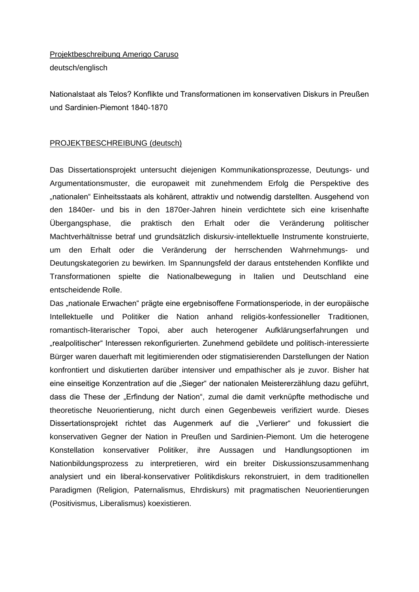Projektbeschreibung Amerigo Caruso deutsch/englisch

Nationalstaat als Telos? Konflikte und Transformationen im konservativen Diskurs in Preußen und Sardinien-Piemont 1840-1870

## PROJEKTBESCHREIBUNG (deutsch)

Das Dissertationsprojekt untersucht diejenigen Kommunikationsprozesse, Deutungs- und Argumentationsmuster, die europaweit mit zunehmendem Erfolg die Perspektive des "nationalen" Einheitsstaats als kohärent, attraktiv und notwendig darstellten. Ausgehend von den 1840er- und bis in den 1870er-Jahren hinein verdichtete sich eine krisenhafte Übergangsphase, die praktisch den Erhalt oder die Veränderung politischer Machtverhältnisse betraf und grundsätzlich diskursiv-intellektuelle Instrumente konstruierte, um den Erhalt oder die Veränderung der herrschenden Wahrnehmungs- und Deutungskategorien zu bewirken. Im Spannungsfeld der daraus entstehenden Konflikte und Transformationen spielte die Nationalbewegung in Italien und Deutschland eine entscheidende Rolle.

Das "nationale Erwachen" prägte eine ergebnisoffene Formationsperiode, in der europäische Intellektuelle und Politiker die Nation anhand religiös-konfessioneller Traditionen, romantisch-literarischer Topoi, aber auch heterogener Aufklärungserfahrungen und "realpolitischer" Interessen rekonfigurierten. Zunehmend gebildete und politisch-interessierte Bürger waren dauerhaft mit legitimierenden oder stigmatisierenden Darstellungen der Nation konfrontiert und diskutierten darüber intensiver und empathischer als je zuvor. Bisher hat eine einseitige Konzentration auf die "Sieger" der nationalen Meistererzählung dazu geführt, dass die These der "Erfindung der Nation", zumal die damit verknüpfte methodische und theoretische Neuorientierung, nicht durch einen Gegenbeweis verifiziert wurde. Dieses Dissertationsprojekt richtet das Augenmerk auf die "Verlierer" und fokussiert die konservativen Gegner der Nation in Preußen und Sardinien-Piemont. Um die heterogene Konstellation konservativer Politiker, ihre Aussagen und Handlungsoptionen im Nationbildungsprozess zu interpretieren, wird ein breiter Diskussionszusammenhang analysiert und ein liberal-konservativer Politikdiskurs rekonstruiert, in dem traditionellen Paradigmen (Religion, Paternalismus, Ehrdiskurs) mit pragmatischen Neuorientierungen (Positivismus, Liberalismus) koexistieren.